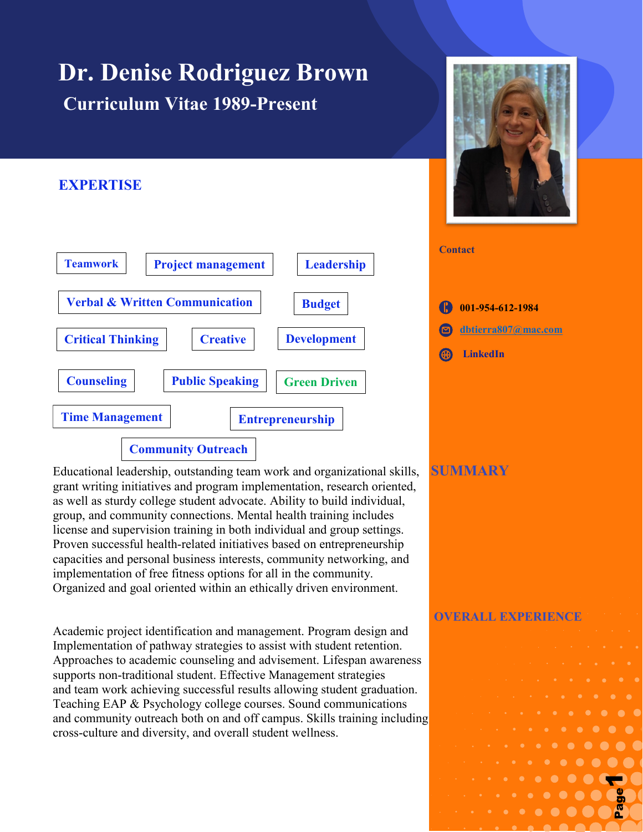# **Dr. Denise Rodriguez Brown Curriculum Vitae 1989-Present**

## **EXPERTISE**



Educational leadership, outstanding team work and organizational skills, **SUMMARY** grant writing initiatives and program implementation, research oriented, as well as sturdy college student advocate. Ability to build individual, group, and community connections. Mental health training includes license and supervision training in both individual and group settings. Proven successful health-related initiatives based on entrepreneurship capacities and personal business interests, community networking, and implementation of free fitness options for all in the community. Organized and goal oriented within an ethically driven environment.

Academic project identification and management. Program design and Implementation of pathway strategies to assist with student retention. Approaches to academic counseling and advisement. Lifespan awareness supports non-traditional student. Effective Management strategies and team work achieving successful results allowing student graduation. Teaching EAP & Psychology college courses. Sound communications and community outreach both on and off campus. Skills training including cross-culture and diversity, and overall student wellness.



| $\bigoplus$ 001-954-612-1984 |
|------------------------------|
| <b>S</b> dbtierra807@mac.com |
| <b>B</b> LinkedIn            |

**Contact**

**OVERALL EXPERIENCE**

Page **1** of **9** 1

Page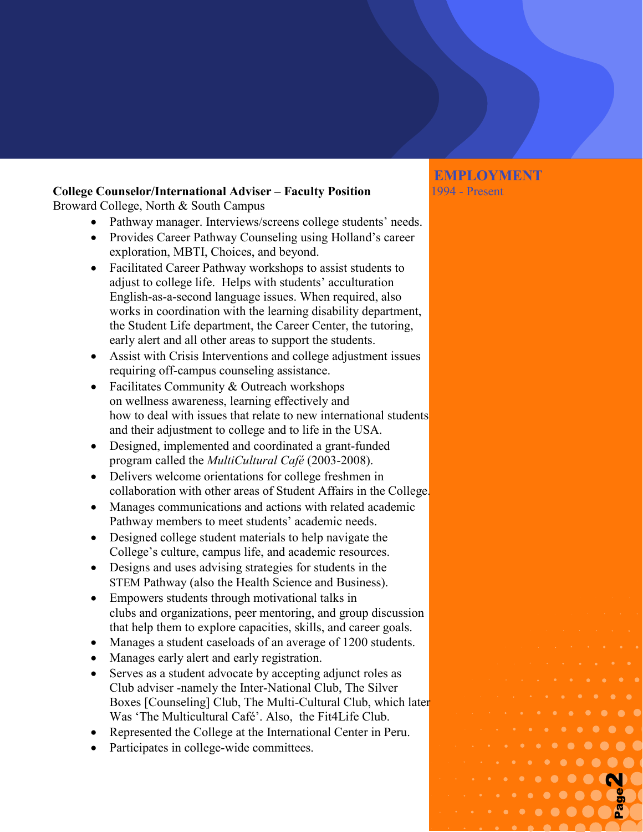#### **College Counselor/International Adviser – Faculty Position** 1994 - Present Broward College, North & South Campus

- Pathway manager. Interviews/screens college students' needs.
- Provides Career Pathway Counseling using Holland's career exploration, MBTI, Choices, and beyond.
- Facilitated Career Pathway workshops to assist students to adjust to college life. Helps with students' acculturation English-as-a-second language issues. When required, also works in coordination with the learning disability department, the Student Life department, the Career Center, the tutoring, early alert and all other areas to support the students.
- Assist with Crisis Interventions and college adjustment issues requiring off-campus counseling assistance.
- Facilitates Community & Outreach workshops on wellness awareness, learning effectively and how to deal with issues that relate to new international students and their adjustment to college and to life in the USA.
- Designed, implemented and coordinated a grant-funded program called the *MultiCultural Café* (2003-2008).
- Delivers welcome orientations for college freshmen in collaboration with other areas of Student Affairs in the College.
- Manages communications and actions with related academic Pathway members to meet students' academic needs.
- Designed college student materials to help navigate the College's culture, campus life, and academic resources.
- Designs and uses advising strategies for students in the STEM Pathway (also the Health Science and Business).
- Empowers students through motivational talks in clubs and organizations, peer mentoring, and group discussion that help them to explore capacities, skills, and career goals.
- Manages a student caseloads of an average of 1200 students.
- Manages early alert and early registration.
- Serves as a student advocate by accepting adjunct roles as Club adviser -namely the Inter-National Club, The Silver Boxes [Counseling] Club, The Multi-Cultural Club, which later Was 'The Multicultural Café'. Also, the Fit4Life Club.
- Represented the College at the International Center in Peru.
- Participates in college-wide committees.

# **EMPLOYMENT**

Page **2** of **9**

 $\begin{array}{cccccccccccccc} \cdot & \cdot & \cdot & \cdot & \circ & \circ & \circ & \circ & \circ & \bullet & \bullet \end{array}$ 

**Page** 

N  $\bullet$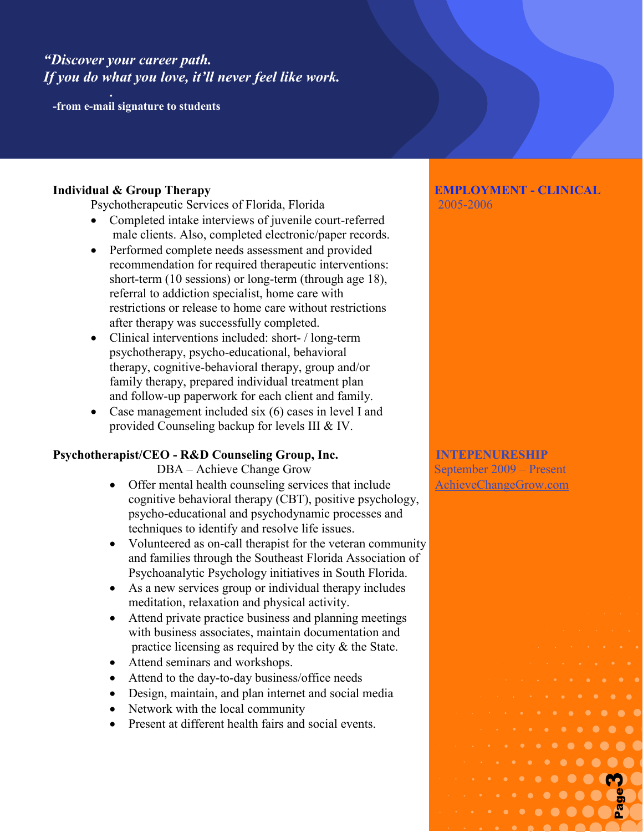# *"Discover your career path. If you do what you love, it'll never feel like work.*

**. -from e-mail signature to students**

Psychotherapeutic Services of Florida, Florida 2005-2006

- Completed intake interviews of juvenile court-referred male clients. Also, completed electronic/paper records.
- Performed complete needs assessment and provided recommendation for required therapeutic interventions: short-term (10 sessions) or long-term (through age 18), referral to addiction specialist, home care with restrictions or release to home care without restrictions after therapy was successfully completed.
- Clinical interventions included: short- / long-term psychotherapy, psycho-educational, behavioral therapy, cognitive-behavioral therapy, group and/or family therapy, prepared individual treatment plan and follow-up paperwork for each client and family.
- Case management included six (6) cases in level I and provided Counseling backup for levels III & IV.

### **Psychotherapist/CEO - R&D Counseling Group, Inc. INTEPENURESHIP**

DBA – Achieve Change Grow September 2009 – Present

- Offer mental health counseling services that include [AchieveChangeGrow.com](http://www.achievechangegrow.com/) cognitive behavioral therapy (CBT), positive psychology, psycho-educational and psychodynamic processes and techniques to identify and resolve life issues.
- Volunteered as on-call therapist for the veteran community and families through the Southeast Florida Association of Psychoanalytic Psychology initiatives in South Florida.
- As a new services group or individual therapy includes meditation, relaxation and physical activity.
- Attend private practice business and planning meetings with business associates, maintain documentation and practice licensing as required by the city & the State.
- Attend seminars and workshops.
- Attend to the day-to-day business/office needs
- Design, maintain, and plan internet and social media
- Network with the local community
- Present at different health fairs and social events.

# **Individual & Group Therapy EMPLOYMENT - CLINICAL**

Page **3** of **9** 3

Page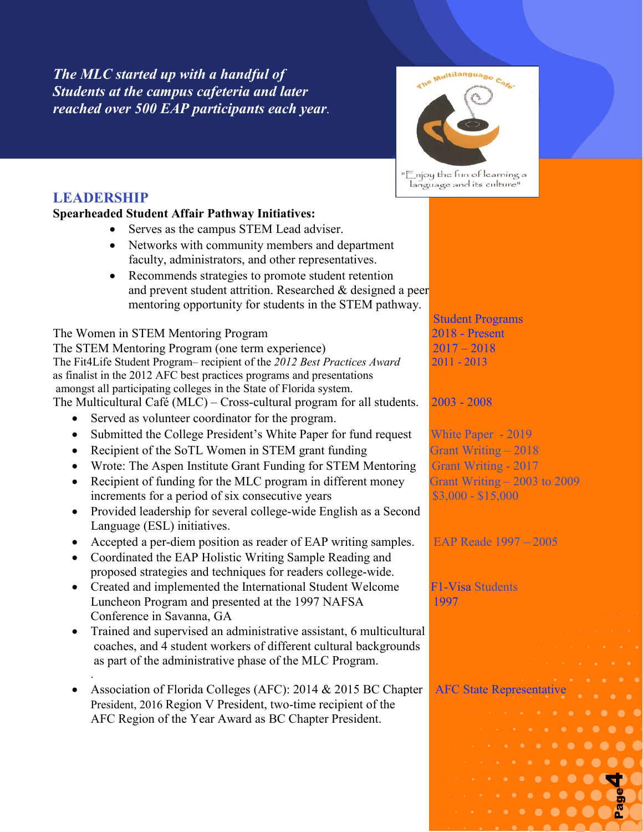*The MLC started up with a handful of Students at the campus cafeteria and later reached over 500 EAP participants each year.*



"Enjoy the fun of learning a language and its culture"

# **LEADERSHIP**

.

### **Spearheaded Student Affair Pathway Initiatives:**

- Serves as the campus STEM Lead adviser.
- Networks with community members and department faculty, administrators, and other representatives.
- Recommends strategies to promote student retention and prevent student attrition. Researched & designed a peer mentoring opportunity for students in the STEM pathway.

The Women in STEM Mentoring Program 2018 - Present The STEM Mentoring Program (one term experience) 2017 – 2018 The Fit4Life Student Program– recipient of the *2012 Best Practices Award* 2011 - 2013 as finalist in the 2012 AFC best practices programs and presentations amongst all participating colleges in the State of Florida system. The Multicultural Café (MLC) – Cross-cultural program for all students.  $2003 - 2008$ 

- Served as volunteer coordinator for the program.
- Submitted the College President's White Paper for fund request White Paper 2019
- Recipient of the SoTL Women in STEM grant funding Grant Writing 2018
- Wrote: The Aspen Institute Grant Funding for STEM Mentoring Grant Writing 2017
- Recipient of funding for the MLC program in different money Grant Writing  $-2003$  to 2009 increments for a period of six consecutive years \$3,000 - \$15,000
- Provided leadership for several college-wide English as a Second Language (ESL) initiatives.
- Accepted a per-diem position as reader of EAP writing samples. EAP Reade 1997 2005
- Coordinated the EAP Holistic Writing Sample Reading and proposed strategies and techniques for readers college-wide.
- Created and implemented the International Student Welcome F1-Visa Students Luncheon Program and presented at the 1997 NAFSA 1997 Conference in Savanna, GA
- Trained and supervised an administrative assistant, 6 multicultural coaches, and 4 student workers of different cultural backgrounds as part of the administrative phase of the MLC Program.
- Association of Florida Colleges (AFC): 2014 & 2015 BC Chapter AFC State Representative President, 2016 Region V President, two-time recipient of the AFC Region of the Year Award as BC Chapter President.

Student Programs

 $\cdots \cdots \cdots \cdots \cdots \cdots$ 

Page

4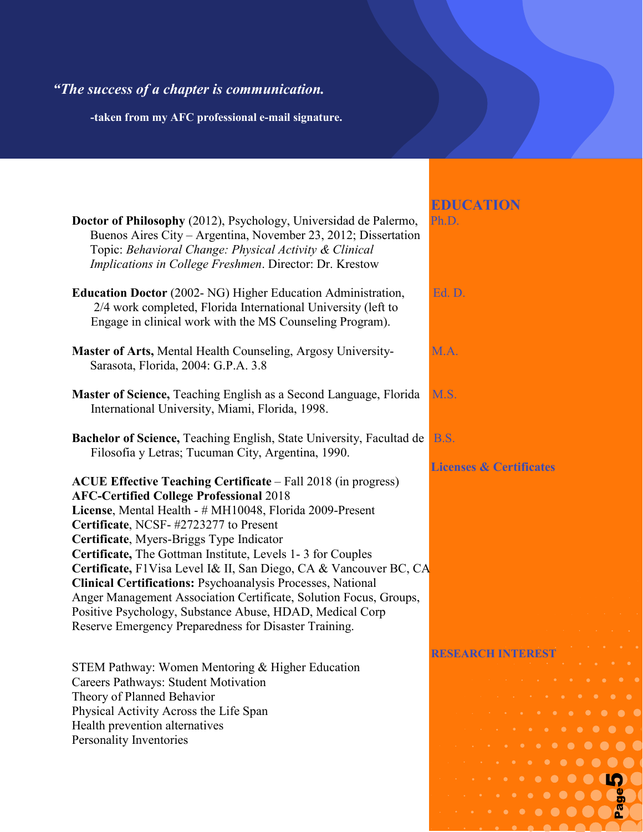# *"The success of a chapter is communication.*

 **-taken from my AFC professional e-mail signature.** 

|                                                                                                                                                                                                                                                                                                                                                                                                                                                                                                                                                                                                                                                                            | <b>EDUCATION</b>                                                                                                                                                                                                                                                                                                                                                                            |
|----------------------------------------------------------------------------------------------------------------------------------------------------------------------------------------------------------------------------------------------------------------------------------------------------------------------------------------------------------------------------------------------------------------------------------------------------------------------------------------------------------------------------------------------------------------------------------------------------------------------------------------------------------------------------|---------------------------------------------------------------------------------------------------------------------------------------------------------------------------------------------------------------------------------------------------------------------------------------------------------------------------------------------------------------------------------------------|
| Doctor of Philosophy (2012), Psychology, Universidad de Palermo,<br>Buenos Aires City – Argentina, November 23, 2012; Dissertation<br>Topic: Behavioral Change: Physical Activity & Clinical<br>Implications in College Freshmen. Director: Dr. Krestow                                                                                                                                                                                                                                                                                                                                                                                                                    | Ph.D.                                                                                                                                                                                                                                                                                                                                                                                       |
| Education Doctor (2002- NG) Higher Education Administration,<br>2/4 work completed, Florida International University (left to<br>Engage in clinical work with the MS Counseling Program).                                                                                                                                                                                                                                                                                                                                                                                                                                                                                  | Ed. D.                                                                                                                                                                                                                                                                                                                                                                                      |
| Master of Arts, Mental Health Counseling, Argosy University-<br>Sarasota, Florida, 2004: G.P.A. 3.8                                                                                                                                                                                                                                                                                                                                                                                                                                                                                                                                                                        | M.A.                                                                                                                                                                                                                                                                                                                                                                                        |
| Master of Science, Teaching English as a Second Language, Florida<br>International University, Miami, Florida, 1998.                                                                                                                                                                                                                                                                                                                                                                                                                                                                                                                                                       | M.S.                                                                                                                                                                                                                                                                                                                                                                                        |
| Bachelor of Science, Teaching English, State University, Facultad de<br>Filosofia y Letras; Tucuman City, Argentina, 1990.                                                                                                                                                                                                                                                                                                                                                                                                                                                                                                                                                 | <b>B.S.</b><br><b>Licenses &amp; Certificates</b>                                                                                                                                                                                                                                                                                                                                           |
| <b>ACUE Effective Teaching Certificate - Fall 2018 (in progress)</b><br><b>AFC-Certified College Professional 2018</b><br>License, Mental Health - # MH10048, Florida 2009-Present<br>Certificate, NCSF-#2723277 to Present<br>Certificate, Myers-Briggs Type Indicator<br>Certificate, The Gottman Institute, Levels 1-3 for Couples<br>Certificate, F1Visa Level I& II, San Diego, CA & Vancouver BC, CA<br><b>Clinical Certifications: Psychoanalysis Processes, National</b><br>Anger Management Association Certificate, Solution Focus, Groups,<br>Positive Psychology, Substance Abuse, HDAD, Medical Corp<br>Reserve Emergency Preparedness for Disaster Training. |                                                                                                                                                                                                                                                                                                                                                                                             |
|                                                                                                                                                                                                                                                                                                                                                                                                                                                                                                                                                                                                                                                                            | <b>RESEARCH INTEREST</b>                                                                                                                                                                                                                                                                                                                                                                    |
| STEM Pathway: Women Mentoring & Higher Education<br>Careers Pathways: Student Motivation                                                                                                                                                                                                                                                                                                                                                                                                                                                                                                                                                                                   | $\begin{array}{cccccccccccccc} \bullet & \bullet & \bullet & \bullet & \bullet & \bullet & \bullet & \bullet & \bullet & \bullet \end{array}$<br><b><i>Contract American Contract American Contract American Contract American Contract American Contract American Contract American Contract American Contract American Contract American Contract American Contract American Cont</i></b> |
| Theory of Planned Behavior<br>Physical Activity Across the Life Span                                                                                                                                                                                                                                                                                                                                                                                                                                                                                                                                                                                                       |                                                                                                                                                                                                                                                                                                                                                                                             |
| Health prevention alternatives                                                                                                                                                                                                                                                                                                                                                                                                                                                                                                                                                                                                                                             |                                                                                                                                                                                                                                                                                                                                                                                             |

Page **5** of **9** 5

 $\bullet$ 

 $\bullet\hspace{0.1cm} \bullet\hspace{0.1cm} \bullet\hspace{0.1cm} \bullet\hspace{0.1cm} \bullet\hspace{0.1cm} \bullet\hspace{0.1cm} \bullet\hspace{0.1cm} \bullet$ 

 $\bullet$ 

Page

 $\bullet$   $\bullet$ 

Personality Inventories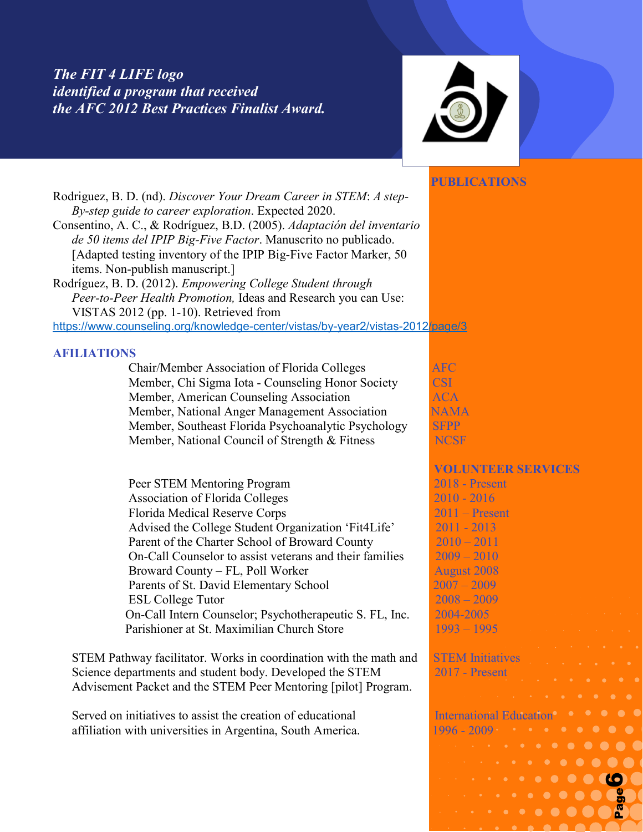## *The FIT 4 LIFE logo identified a program that received the AFC 2012 Best Practices Finalist Award.*



#### **PUBLICATIONS**

Page **6** of **9** 6

Page

Rodriguez, B. D. (nd). *Discover Your Dream Career in STEM*: *A step- By-step guide to career exploration*. Expected 2020. Consentino, A. C., & Rodríguez, B.D. (2005). *Adaptación del inventario de 50 items del IPIP Big-Five Factor*. Manuscrito no publicado. [Adapted testing inventory of the IPIP Big-Five Factor Marker, 50 items. Non-publish manuscript.] Rodríguez, B. D. (2012). *Empowering College Student through Peer-to-Peer Health Promotion,* Ideas and Research you can Use: VISTAS 2012 (pp. 1-10). Retrieved from <https://www.counseling.org/knowledge-center/vistas/by-year2/vistas-2012/page/3> **AFILIATIONS** Chair/Member Association of Florida Colleges AFC Member, Chi Sigma Iota - Counseling Honor Society CSI Member, American Counseling Association **ACA** Member, National Anger Management Association NAMA Member, Southeast Florida Psychoanalytic Psychology SFPP Member, National Council of Strength & Fitness NCSF **VOLUNTEER SERVICES** Peer STEM Mentoring Program 2018 - Present Association of Florida Colleges 2010 - 2016 Florida Medical Reserve Corps 2011 – Present Advised the College Student Organization 'Fit4Life' 2011 - 2013

Parent of the Charter School of Broward County 2010 – 2011 On-Call Counselor to assist veterans and their families 2009 – 2010 Broward County – FL, Poll Worker August 2008 Parents of St. David Elementary School 2007 – 2009 ESL College Tutor 2008 – 2009 On-Call Intern Counselor; Psychotherapeutic S. FL, Inc. 2004-2005 Parishioner at St. Maximilian Church Store 1993 – 1995

STEM Pathway facilitator. Works in coordination with the math and STEM Initiatives Science departments and student body. Developed the STEM 2017 - Present Advisement Packet and the STEM Peer Mentoring [pilot] Program.

Served on initiatives to assist the creation of educational **International Education** affiliation with universities in Argentina, South America. 1996 -  $2009 - 1996$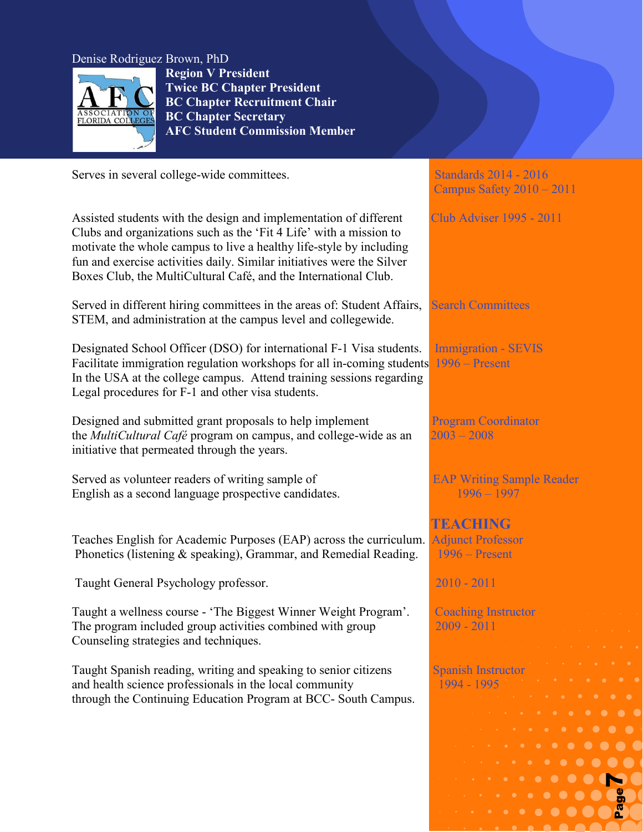#### Denise Rodriguez Brown, PhD



i<br>I

**Region V President Twice BC Chapter President BC Chapter Recruitment Chair BC Chapter Secretary AFC Student Commission Member**

Serves in several college-wide committees.<br>Standards 2014 - 2016

Assisted students with the design and implementation of different Club Adviser 1995 - 2011 Clubs and organizations such as the 'Fit 4 Life' with a mission to motivate the whole campus to live a healthy life-style by including fun and exercise activities daily. Similar initiatives were the Silver Boxes Club, the MultiCultural Café, and the International Club.

Served in different hiring committees in the areas of: Student Affairs, Search Committees STEM, and administration at the campus level and collegewide.

Designated School Officer (DSO) for international F-1 Visa students. Immigration - SEVIS Facilitate immigration regulation workshops for all in-coming students 1996 – Present In the USA at the college campus. Attend training sessions regarding Legal procedures for F-1 and other visa students.

Designed and submitted grant proposals to help implement Program Coordinator the *MultiCultural Café* program on campus, and college-wide as an 2003 – 2008 initiative that permeated through the years.

Served as volunteer readers of writing sample of EAP Writing Sample Reader English as a second language prospective candidates. 1996 – 1996 – 1997

Teaches English for Academic Purposes (EAP) across the curriculum. Adjunct Professor Phonetics (listening  $\&$  speaking), Grammar, and Remedial Reading. 1996 – Present

Taught General Psychology professor. 2010 - 2011

Taught a wellness course - 'The Biggest Winner Weight Program'. Coaching Instructor The program included group activities combined with group 2009 - 2011 Counseling strategies and techniques.

Taught Spanish reading, writing and speaking to senior citizens Spanish Instructor and health science professionals in the local community 1994 - 1995 through the Continuing Education Program at BCC- South Campus.

Campus Safety 2010 – 2011

 **TEACHING**

Page **7** of **9** 7

Page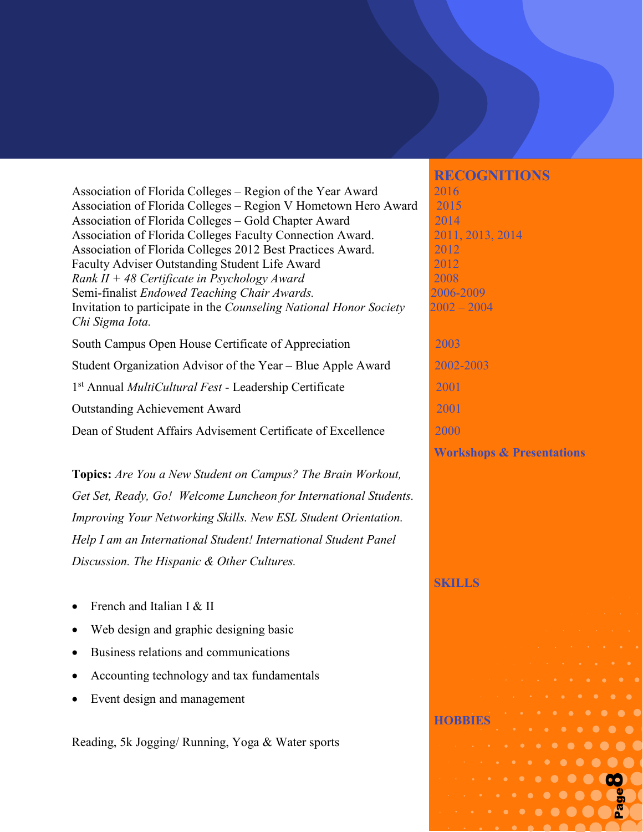Association of Florida Colleges – Region of the Year Award 2016 Association of Florida Colleges – Region V Hometown Hero Award 2015 Association of Florida Colleges – Gold Chapter Award 2014 Association of Florida Colleges Faculty Connection Award. 2011, 2013, 2014 Association of Florida Colleges 2012 Best Practices Award. 2012 Faculty Adviser Outstanding Student Life Award 2012 *Rank II + 48 Certificate in Psychology Award* 2008 Semi-finalist *Endowed Teaching Chair Awards.* 2006-2009 Invitation to participate in the *Counseling National Honor Society* 2002 – 2004 *Chi Sigma Iota.* South Campus Open House Certificate of Appreciation 2003 Student Organization Advisor of the Year – Blue Apple Award 2002-2003 1st Annual *MultiCultural Fest* - Leadership Certificate 2001 Outstanding Achievement Award 2001 Dean of Student Affairs Advisement Certificate of Excellence2000

**Topics:** *Are You a New Student on Campus? The Brain Workout, Get Set, Ready, Go! Welcome Luncheon for International Students. Improving Your Networking Skills. New ESL Student Orientation. Help I am an International Student! International Student Panel Discussion. The Hispanic & Other Cultures.*

- French and Italian I & II
- Web design and graphic designing basic
- Business relations and communications
- Accounting technology and tax fundamentals
- Event design and management

Reading, 5k Jogging/ Running, Yoga & Water sports

 **RECOGNITIONS**

**Workshops & Presentations**

Page **8** of **9** 8

Page

#### **SKILLS**

**HOBBIES**